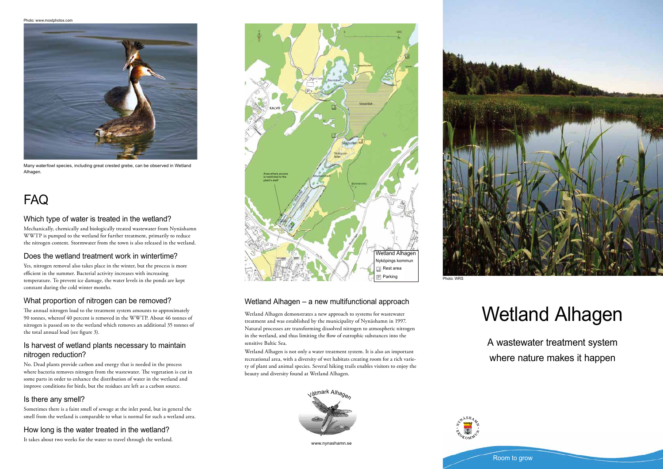# Wetland Alhagen

A wastewater treatment system where nature makes it happen

Wetland Alhagen demonstrates a new approach to systems for wastewater treatment and was established by the municipality of Nynäshamn in 1997. Natural processes are transforming dissolved nitrogen to atmospheric nitrogen in the wetland, and thus limiting the flow of eutrophic substances into the

sensitive Baltic Sea.

Wetland Alhagen is not only a water treatment system. It is also an important recreational area, with a diversity of wet habitats creating room for a rich variety of plant and animal species. Several hiking trails enables visitors to enjoy the

beauty and diversity found at Wetland Alhagen.

# Which type of water is treated in the wetland?

Mechanically, chemically and biologically treated wastewater from Nynäshamn WWTP is pumped to the wetland for further treatment, primarily to reduce the nitrogen content. Stormwater from the town is also released in the wetland.

# Does the wetland treatment work in wintertime?

Yes, nitrogen removal also takes place in the winter, but the process is more efficient in the summer. Bacterial activity increases with increasing temperature. To prevent ice damage, the water levels in the ponds are kept constant during the cold winter months.

# What proportion of nitrogen can be removed?

The annual nitrogen load to the treatment system amounts to approximately 90 tonnes, whereof 40 percent is removed in the WWTP. About 46 tonnes of nitrogen is passed on to the wetland which removes an additional 35 tonnes of the total annual load (see figure 3).

# Is harvest of wetland plants necessary to maintain nitrogen reduction?

No. Dead plants provide carbon and energy that is needed in the process where bacteria removes nitrogen from the wastewater. The vegetation is cut in some parts in order to enhance the distribution of water in the wetland and improve conditions for birds, but the residues are left as a carbon source.

# Is there any smell?

Sometimes there is a faint smell of sewage at the inlet pond, but in general the smell from the wetland is comparable to what is normal for such a wetland area.

# How long is the water treated in the wetland?

It takes about two weeks for the water to travel through the wetland.

# FAQ





Many waterfowl species, including great crested grebe, can be observed in Wetland Alhagen.

Photo: www.mostphotos.com



Wetland Alhagen – a new multifunctional approach

www.nynashamn.se